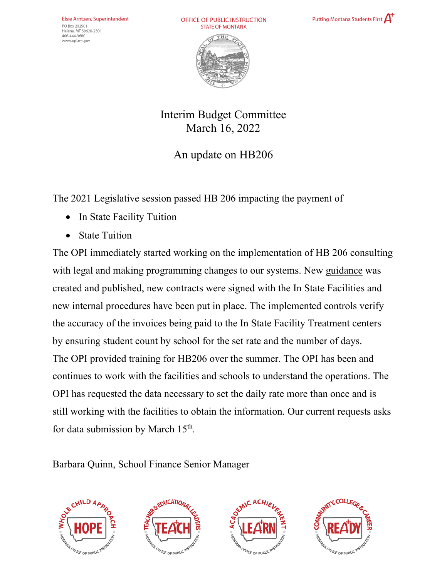OFFICE OF PUBLIC INSTRUCTION **STATE OF MONTANA** 





## Interim Budget Committee March 16, 2022

## An update on HB206

The 2021 Legislative session passed HB 206 impacting the payment of

- In State Facility Tuition
- State Tuition

The OPI immediately started working on the implementation of HB 206 consulting with legal and making programming changes to our systems. New guidance was created and published, new contracts were signed with the In State Facilities and new internal procedures have been put in place. The implemented controls verify the accuracy of the invoices being paid to the In State Facility Treatment centers by ensuring student count by school for the set rate and the number of days. The OPI provided training for HB206 over the summer. The OPI has been and continues to work with the facilities and schools to understand the operations. The OPI has requested the data necessary to set the daily rate more than once and is still working with the facilities to obtain the information. Our current requests asks for data submission by March 15<sup>th</sup>.

#### Barbara Quinn, School Finance Senior Manager







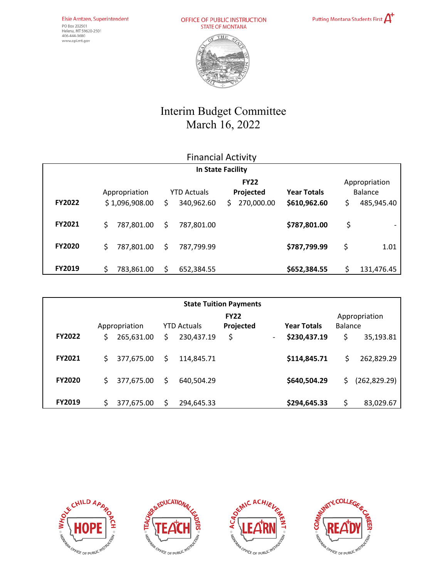OFFICE OF PUBLIC INSTRUCTION<br>STATE OF MONTANA





# Interim Budget Committee March 16, 2022

| <b>Financial Activity</b> |                                 |                                       |                                              |                                    |                                              |  |  |  |  |  |  |  |
|---------------------------|---------------------------------|---------------------------------------|----------------------------------------------|------------------------------------|----------------------------------------------|--|--|--|--|--|--|--|
| In State Facility         |                                 |                                       |                                              |                                    |                                              |  |  |  |  |  |  |  |
| <b>FY2022</b>             | Appropriation<br>\$1,096,908.00 | <b>YTD Actuals</b><br>340,962.60<br>Ś | <b>FY22</b><br>Projected<br>270,000.00<br>Ś. | <b>Year Totals</b><br>\$610,962.60 | Appropriation<br>Balance<br>\$<br>485,945.40 |  |  |  |  |  |  |  |
| <b>FY2021</b>             | 787,801.00<br>\$                | 787,801.00<br>S.                      |                                              | \$787,801.00                       | \$                                           |  |  |  |  |  |  |  |
| <b>FY2020</b>             | \$<br>787,801.00                | 787,799.99<br>Ś                       |                                              | \$787,799.99                       | \$<br>1.01                                   |  |  |  |  |  |  |  |
| <b>FY2019</b>             | Ś<br>783,861.00                 | 652,384.55                            |                                              | \$652,384.55                       | Ś<br>131,476.45                              |  |  |  |  |  |  |  |

| <b>State Tuition Payments</b> |                                     |            |                          |                    |    |                                 |              |     |               |  |  |  |
|-------------------------------|-------------------------------------|------------|--------------------------|--------------------|----|---------------------------------|--------------|-----|---------------|--|--|--|
|                               | Appropriation<br><b>YTD Actuals</b> |            | <b>FY22</b><br>Projected | <b>Year Totals</b> |    | Appropriation<br><b>Balance</b> |              |     |               |  |  |  |
| <b>FY2022</b>                 |                                     | 265,631.00 | Ś                        | 230,437.19         | \$ | -                               | \$230,437.19 | \$  | 35,193.81     |  |  |  |
| <b>FY2021</b>                 |                                     | 377,675.00 | S                        | 114,845.71         |    |                                 | \$114,845.71 | \$  | 262,829.29    |  |  |  |
| <b>FY2020</b>                 | \$.                                 | 377,675.00 | Ŝ.                       | 640,504.29         |    |                                 | \$640,504.29 | \$. | (262, 829.29) |  |  |  |
| <b>FY2019</b>                 |                                     | 377,675.00 |                          | 294,645.33         |    |                                 | \$294,645.33 |     | 83,029.67     |  |  |  |